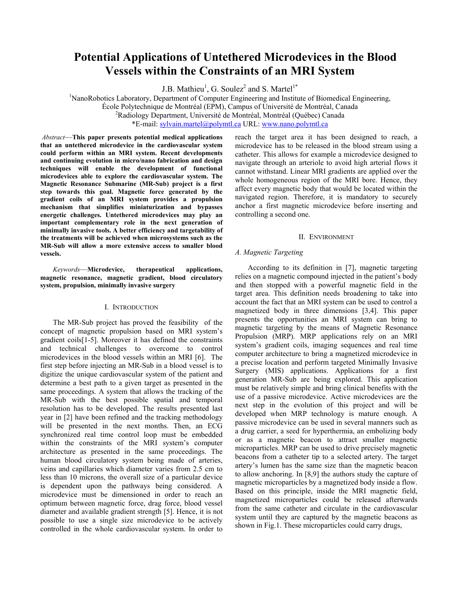# **Potential Applications of Untethered Microdevices in the Blood Vessels within the Constraints of an MRI System**

J.B. Mathieu<sup>1</sup>, G. Soulez<sup>2</sup> and S. Martel<sup>1\*</sup>

<sup>1</sup>NanoRobotics Laboratory, Department of Computer Engineering and Institute of Biomedical Engineering, École Polytechnique de Montréal (EPM), Campus of Université de Montréal, Canada 2 <sup>2</sup>Radiology Department, Université de Montréal, Montréal (Québec) Canada \*E-mail: sylvain.martel@polymtl.ca URL: www.nano.polymtl.ca

 *Abstract*—**This paper presents potential medical applications that an untethered microdevice in the cardiovascular system could perform within an MRI system. Recent developments and continuing evolution in micro/nano fabrication and design techniques will enable the development of functional microdevices able to explore the cardiovascular system. The Magnetic Resonance Submarine (MR-Sub) project is a first step towards this goal. Magnetic force generated by the gradient coils of an MRI system provides a propulsion mechanism that simplifies miniaturization and bypasses energetic challenges. Untethered microdevices may play an important complementary role in the next generation of minimally invasive tools. A better efficiency and targetability of the treatments will be achieved when microsystems such as the MR-Sub will allow a more extensive access to smaller blood vessels.** 

*Keywords*—**Microdevice, therapeutical applications, magnetic resonance, magnetic gradient, blood circulatory system, propulsion, minimally invasive surgery** 

#### I. INTRODUCTION

 The MR-Sub project has proved the feasibility of the concept of magnetic propulsion based on MRI system's gradient coils[1-5]. Moreover it has defined the constraints and technical challenges to overcome to control microdevices in the blood vessels within an MRI [6]. The first step before injecting an MR-Sub in a blood vessel is to digitize the unique cardiovascular system of the patient and determine a best path to a given target as presented in the same proceedings. A system that allows the tracking of the MR-Sub with the best possible spatial and temporal resolution has to be developed. The results presented last year in [2] have been refined and the tracking methodology will be presented in the next months. Then, an ECG synchronized real time control loop must be embedded within the constraints of the MRI system's computer architecture as presented in the same proceedings. The human blood circulatory system being made of arteries, veins and capillaries which diameter varies from 2.5 cm to less than 10 microns, the overall size of a particular device is dependent upon the pathways being considered. A microdevice must be dimensioned in order to reach an optimum between magnetic force, drag force, blood vessel diameter and available gradient strength [5]. Hence, it is not possible to use a single size microdevice to be actively controlled in the whole cardiovascular system. In order to

reach the target area it has been designed to reach, a microdevice has to be released in the blood stream using a catheter. This allows for example a microdevice designed to navigate through an arteriole to avoid high arterial flows it cannot withstand. Linear MRI gradients are applied over the whole homogeneous region of the MRI bore. Hence, they affect every magnetic body that would be located within the navigated region. Therefore, it is mandatory to securely anchor a first magnetic microdevice before inserting and controlling a second one.

# II. ENVIRONMENT

# *A. Magnetic Targeting*

According to its definition in [7], magnetic targeting relies on a magnetic compound injected in the patient's body and then stopped with a powerful magnetic field in the target area. This definition needs broadening to take into account the fact that an MRI system can be used to control a magnetized body in three dimensions [3,4]. This paper presents the opportunities an MRI system can bring to magnetic targeting by the means of Magnetic Resonance Propulsion (MRP). MRP applications rely on an MRI system's gradient coils, imaging sequences and real time computer architecture to bring a magnetized microdevice in a precise location and perform targeted Minimally Invasive Surgery (MIS) applications. Applications for a first generation MR-Sub are being explored. This application must be relatively simple and bring clinical benefits with the use of a passive microdevice. Active microdevices are the next step in the evolution of this project and will be developed when MRP technology is mature enough. A passive microdevice can be used in several manners such as a drug carrier, a seed for hyperthermia, an embolizing body or as a magnetic beacon to attract smaller magnetic microparticles. MRP can be used to drive precisely magnetic beacons from a catheter tip to a selected artery. The target artery's lumen has the same size than the magnetic beacon to allow anchoring. In [8,9] the authors study the capture of magnetic microparticles by a magnetized body inside a flow. Based on this principle, inside the MRI magnetic field, magnetized microparticles could be released afterwards from the same catheter and circulate in the cardiovascular system until they are captured by the magnetic beacons as shown in Fig.1. These microparticles could carry drugs,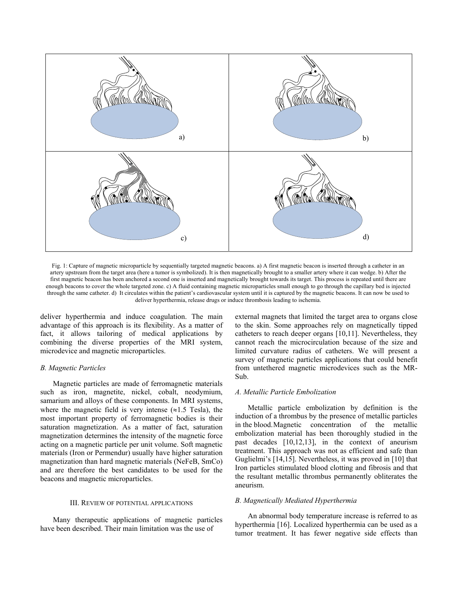

Fig. 1: Capture of magnetic microparticle by sequentially targeted magnetic beacons. a) A first magnetic beacon is inserted through a catheter in an artery upstream from the target area (here a tumor is symbolized). It is then magnetically brought to a smaller artery where it can wedge. b) After the first magnetic beacon has been anchored a second one is inserted and magnetically brought towards its target. This process is repeated until there are enough beacons to cover the whole targeted zone. c) A fluid containing magnetic microparticles small enough to go through the capillary bed is injected through the same catheter. d) It circulates within the patient's cardiovascular system until it is captured by the magnetic beacons. It can now be used to deliver hyperthermia, release drugs or induce thrombosis leading to ischemia.

deliver hyperthermia and induce coagulation. The main advantage of this approach is its flexibility. As a matter of fact, it allows tailoring of medical applications by combining the diverse properties of the MRI system, microdevice and magnetic microparticles.

#### *B. Magnetic Particles*

 Magnetic particles are made of ferromagnetic materials such as iron, magnetite, nickel, cobalt, neodymium, samarium and alloys of these components. In MRI systems, where the magnetic field is very intense  $(\approx 1.5$  Tesla), the most important property of ferromagnetic bodies is their saturation magnetization. As a matter of fact, saturation magnetization determines the intensity of the magnetic force acting on a magnetic particle per unit volume. Soft magnetic materials (Iron or Permendur) usually have higher saturation magnetization than hard magnetic materials (NeFeB, SmCo) and are therefore the best candidates to be used for the beacons and magnetic microparticles.

#### III. REVIEW OF POTENTIAL APPLICATIONS

 Many therapeutic applications of magnetic particles have been described. Their main limitation was the use of

external magnets that limited the target area to organs close to the skin. Some approaches rely on magnetically tipped catheters to reach deeper organs [10,11]. Nevertheless, they cannot reach the microcirculation because of the size and limited curvature radius of catheters. We will present a survey of magnetic particles applications that could benefit from untethered magnetic microdevices such as the MR-Sub.

#### *A. Metallic Particle Embolization*

 Metallic particle embolization by definition is the induction of a thrombus by the presence of metallic particles in the blood. Magnetic concentration of the metallic embolization material has been thoroughly studied in the past decades [10,12,13], in the context of aneurism treatment. This approach was not as efficient and safe than Guglielmi's [14,15]. Nevertheless, it was proved in [10] that Iron particles stimulated blood clotting and fibrosis and that the resultant metallic thrombus permanently obliterates the aneurism.

### *B. Magnetically Mediated Hyperthermia*

An abnormal body temperature increase is referred to as hyperthermia [16]. Localized hyperthermia can be used as a tumor treatment. It has fewer negative side effects than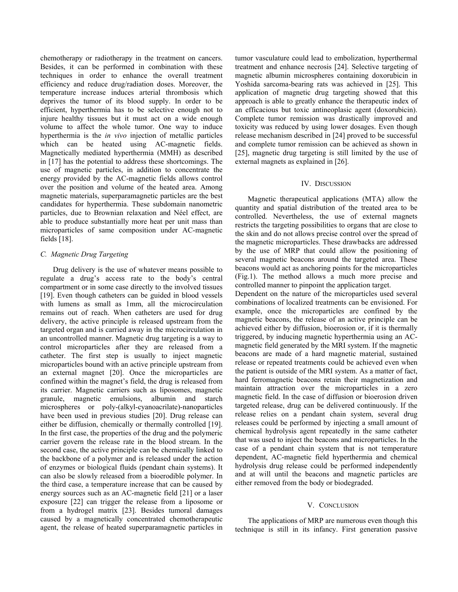chemotherapy or radiotherapy in the treatment on cancers. Besides, it can be performed in combination with these techniques in order to enhance the overall treatment efficiency and reduce drug/radiation doses. Moreover, the temperature increase induces arterial thrombosis which deprives the tumor of its blood supply. In order to be efficient, hyperthermia has to be selective enough not to injure healthy tissues but it must act on a wide enough volume to affect the whole tumor. One way to induce hyperthermia is the *in vivo* injection of metallic particles which can be heated using AC-magnetic fields. Magnetically mediated hyperthermia (MMH) as described in [17] has the potential to address these shortcomings. The use of magnetic particles, in addition to concentrate the energy provided by the AC-magnetic fields allows control over the position and volume of the heated area. Among magnetic materials, superparamagnetic particles are the best candidates for hyperthermia. These subdomain nanometric particles, due to Brownian relaxation and Néel effect, are able to produce substantially more heat per unit mass than microparticles of same composition under AC-magnetic fields [18].

# *C. Magnetic Drug Targeting*

 Drug delivery is the use of whatever means possible to regulate a drug's access rate to the body's central compartment or in some case directly to the involved tissues [19]. Even though catheters can be guided in blood vessels with lumens as small as 1mm, all the microcirculation remains out of reach. When catheters are used for drug delivery, the active principle is released upstream from the targeted organ and is carried away in the microcirculation in an uncontrolled manner. Magnetic drug targeting is a way to control microparticles after they are released from a catheter. The first step is usually to inject magnetic microparticles bound with an active principle upstream from an external magnet [20]. Once the microparticles are confined within the magnet's field, the drug is released from its carrier. Magnetic carriers such as liposomes, magnetic granule, magnetic emulsions, albumin and starch microspheres or poly-(alkyl-cyanoacrilate)-nanoparticles have been used in previous studies [20]. Drug release can either be diffusion, chemically or thermally controlled [19]. In the first case, the properties of the drug and the polymeric carrier govern the release rate in the blood stream. In the second case, the active principle can be chemically linked to the backbone of a polymer and is released under the action of enzymes or biological fluids (pendant chain systems). It can also be slowly released from a bioerodible polymer. In the third case, a temperature increase that can be caused by energy sources such as an AC-magnetic field [21] or a laser exposure [22] can trigger the release from a liposome or from a hydrogel matrix [23]. Besides tumoral damages caused by a magnetically concentrated chemotherapeutic agent, the release of heated superparamagnetic particles in tumor vasculature could lead to embolization, hyperthermal treatment and enhance necrosis [24]. Selective targeting of magnetic albumin microspheres containing doxorubicin in Yoshida sarcoma-bearing rats was achieved in [25]. This application of magnetic drug targeting showed that this approach is able to greatly enhance the therapeutic index of an efficacious but toxic antineoplasic agent (doxorubicin). Complete tumor remission was drastically improved and toxicity was reduced by using lower dosages. Even though release mechanism described in [24] proved to be successful and complete tumor remission can be achieved as shown in [25], magnetic drug targeting is still limited by the use of external magnets as explained in [26].

# IV. DISCUSSION

Magnetic therapeutical applications (MTA) allow the quantity and spatial distribution of the treated area to be controlled. Nevertheless, the use of external magnets restricts the targeting possibilities to organs that are close to the skin and do not allows precise control over the spread of the magnetic microparticles. These drawbacks are addressed by the use of MRP that could allow the positioning of several magnetic beacons around the targeted area. These beacons would act as anchoring points for the microparticles (Fig.1). The method allows a much more precise and controlled manner to pinpoint the application target.

Dependent on the nature of the microparticles used several combinations of localized treatments can be envisioned. For example, once the microparticles are confined by the magnetic beacons, the release of an active principle can be achieved either by diffusion, bioerosion or, if it is thermally triggered, by inducing magnetic hyperthermia using an ACmagnetic field generated by the MRI system. If the magnetic beacons are made of a hard magnetic material, sustained release or repeated treatments could be achieved even when the patient is outside of the MRI system. As a matter of fact, hard ferromagnetic beacons retain their magnetization and maintain attraction over the microparticles in a zero magnetic field. In the case of diffusion or bioerosion driven targeted release, drug can be delivered continuously. If the release relies on a pendant chain system, several drug releases could be performed by injecting a small amount of chemical hydrolysis agent repeatedly in the same catheter that was used to inject the beacons and microparticles. In the case of a pendant chain system that is not temperature dependent, AC-magnetic field hyperthermia and chemical hydrolysis drug release could be performed independently and at will until the beacons and magnetic particles are either removed from the body or biodegraded.

## V. CONCLUSION

 The applications of MRP are numerous even though this technique is still in its infancy. First generation passive